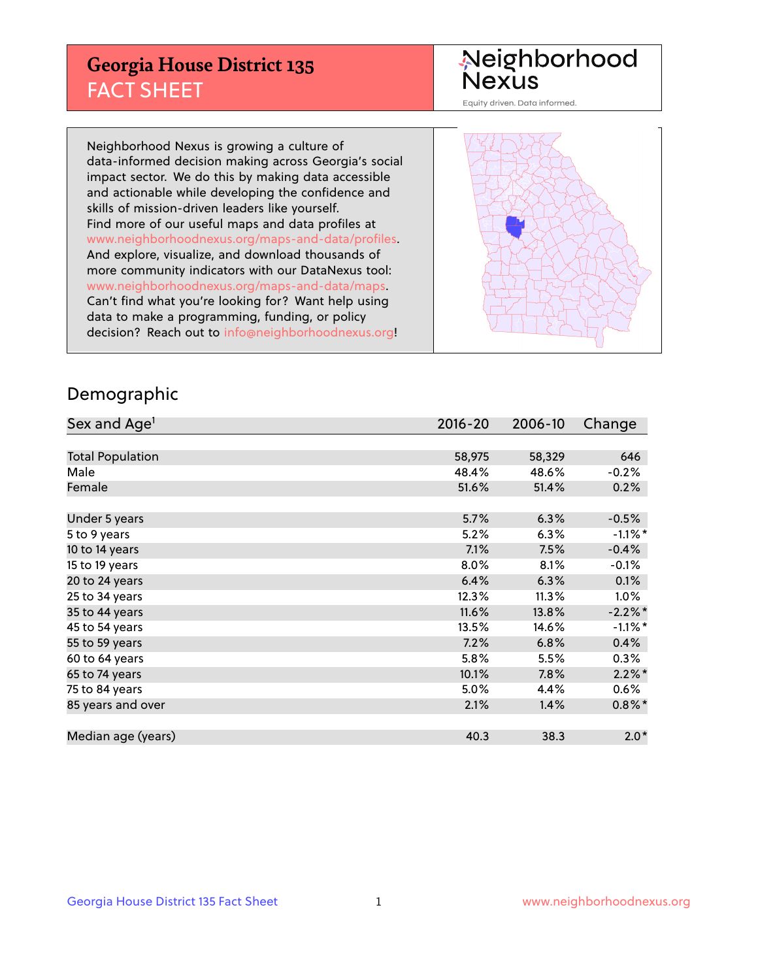## **Georgia House District 135** FACT SHEET

# Neighborhood<br>Nexus

Equity driven. Data informed.

Neighborhood Nexus is growing a culture of data-informed decision making across Georgia's social impact sector. We do this by making data accessible and actionable while developing the confidence and skills of mission-driven leaders like yourself. Find more of our useful maps and data profiles at www.neighborhoodnexus.org/maps-and-data/profiles. And explore, visualize, and download thousands of more community indicators with our DataNexus tool: www.neighborhoodnexus.org/maps-and-data/maps. Can't find what you're looking for? Want help using data to make a programming, funding, or policy decision? Reach out to [info@neighborhoodnexus.org!](mailto:info@neighborhoodnexus.org)



### Demographic

| Sex and Age <sup>1</sup> | $2016 - 20$ | 2006-10 | Change     |
|--------------------------|-------------|---------|------------|
|                          |             |         |            |
| <b>Total Population</b>  | 58,975      | 58,329  | 646        |
| Male                     | 48.4%       | 48.6%   | $-0.2%$    |
| Female                   | 51.6%       | 51.4%   | 0.2%       |
|                          |             |         |            |
| Under 5 years            | 5.7%        | 6.3%    | $-0.5%$    |
| 5 to 9 years             | 5.2%        | 6.3%    | $-1.1\%$ * |
| 10 to 14 years           | 7.1%        | 7.5%    | $-0.4%$    |
| 15 to 19 years           | 8.0%        | 8.1%    | $-0.1%$    |
| 20 to 24 years           | 6.4%        | 6.3%    | 0.1%       |
| 25 to 34 years           | 12.3%       | 11.3%   | $1.0\%$    |
| 35 to 44 years           | 11.6%       | 13.8%   | $-2.2%$ *  |
| 45 to 54 years           | 13.5%       | 14.6%   | $-1.1\%$ * |
| 55 to 59 years           | 7.2%        | 6.8%    | 0.4%       |
| 60 to 64 years           | 5.8%        | 5.5%    | $0.3\%$    |
| 65 to 74 years           | 10.1%       | 7.8%    | $2.2\%$ *  |
| 75 to 84 years           | 5.0%        | 4.4%    | $0.6\%$    |
| 85 years and over        | 2.1%        | 1.4%    | $0.8\%$ *  |
|                          |             |         |            |
| Median age (years)       | 40.3        | 38.3    | $2.0*$     |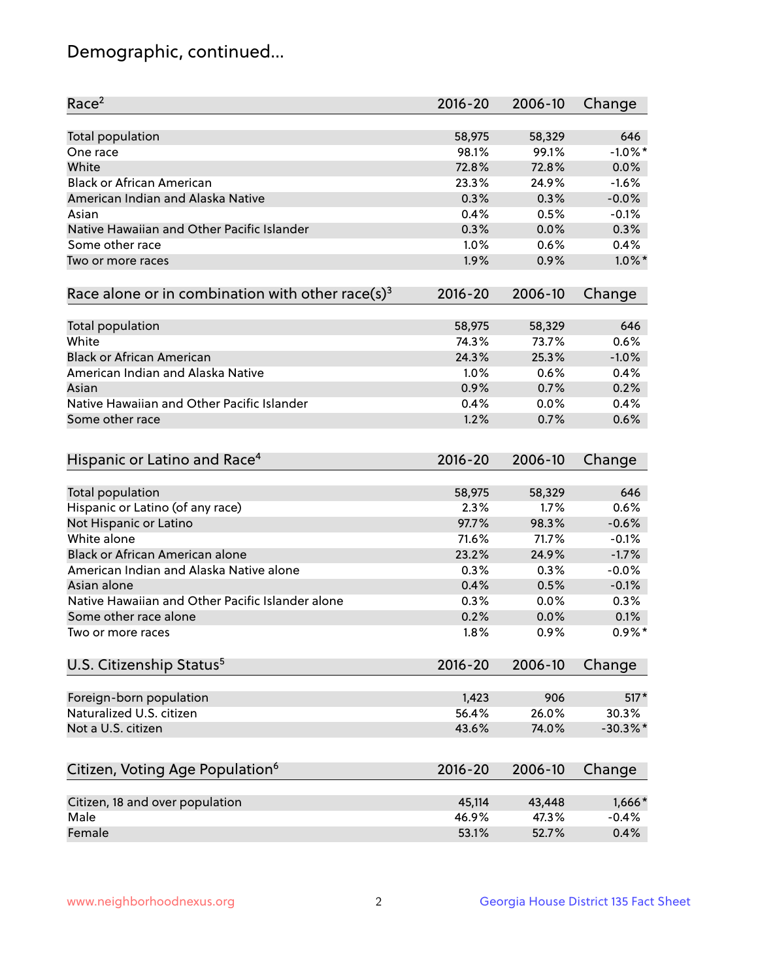## Demographic, continued...

| Race <sup>2</sup>                                            | 2016-20     | 2006-10 | Change     |
|--------------------------------------------------------------|-------------|---------|------------|
| <b>Total population</b>                                      | 58,975      | 58,329  | 646        |
| One race                                                     | 98.1%       | 99.1%   | $-1.0\%$ * |
| White                                                        | 72.8%       | 72.8%   | 0.0%       |
| <b>Black or African American</b>                             | 23.3%       | 24.9%   | $-1.6%$    |
| American Indian and Alaska Native                            | 0.3%        | 0.3%    | $-0.0%$    |
| Asian                                                        | 0.4%        | 0.5%    | $-0.1%$    |
| Native Hawaiian and Other Pacific Islander                   | 0.3%        | 0.0%    | 0.3%       |
| Some other race                                              | 1.0%        | 0.6%    | 0.4%       |
| Two or more races                                            | 1.9%        | 0.9%    | $1.0\%$ *  |
| Race alone or in combination with other race(s) <sup>3</sup> | $2016 - 20$ | 2006-10 | Change     |
| <b>Total population</b>                                      | 58,975      | 58,329  | 646        |
| White                                                        | 74.3%       | 73.7%   | 0.6%       |
| <b>Black or African American</b>                             | 24.3%       | 25.3%   | $-1.0%$    |
| American Indian and Alaska Native                            | 1.0%        | 0.6%    | 0.4%       |
| Asian                                                        | 0.9%        | 0.7%    | 0.2%       |
| Native Hawaiian and Other Pacific Islander                   | 0.4%        | 0.0%    | 0.4%       |
| Some other race                                              | 1.2%        | 0.7%    | 0.6%       |
| Hispanic or Latino and Race <sup>4</sup>                     | $2016 - 20$ | 2006-10 | Change     |
| <b>Total population</b>                                      | 58,975      | 58,329  | 646        |
| Hispanic or Latino (of any race)                             | 2.3%        | 1.7%    | 0.6%       |
| Not Hispanic or Latino                                       | 97.7%       | 98.3%   | $-0.6%$    |
| White alone                                                  | 71.6%       | 71.7%   | $-0.1%$    |
| <b>Black or African American alone</b>                       | 23.2%       | 24.9%   | $-1.7%$    |
| American Indian and Alaska Native alone                      | 0.3%        | 0.3%    | $-0.0%$    |
| Asian alone                                                  | 0.4%        | 0.5%    | $-0.1%$    |
| Native Hawaiian and Other Pacific Islander alone             | 0.3%        | 0.0%    | 0.3%       |
| Some other race alone                                        | 0.2%        | 0.0%    | 0.1%       |
| Two or more races                                            | 1.8%        | 0.9%    | $0.9\%$ *  |
| U.S. Citizenship Status <sup>5</sup>                         | $2016 - 20$ | 2006-10 | Change     |
| Foreign-born population                                      | 1,423       | 906     | $517*$     |
| Naturalized U.S. citizen                                     | 56.4%       | 26.0%   | 30.3%      |
| Not a U.S. citizen                                           | 43.6%       | 74.0%   | $-30.3%$ * |
|                                                              |             |         |            |
| Citizen, Voting Age Population <sup>6</sup>                  | $2016 - 20$ | 2006-10 | Change     |
| Citizen, 18 and over population                              | 45,114      | 43,448  | $1,666*$   |
| Male                                                         | 46.9%       | 47.3%   | $-0.4%$    |
| Female                                                       | 53.1%       | 52.7%   | 0.4%       |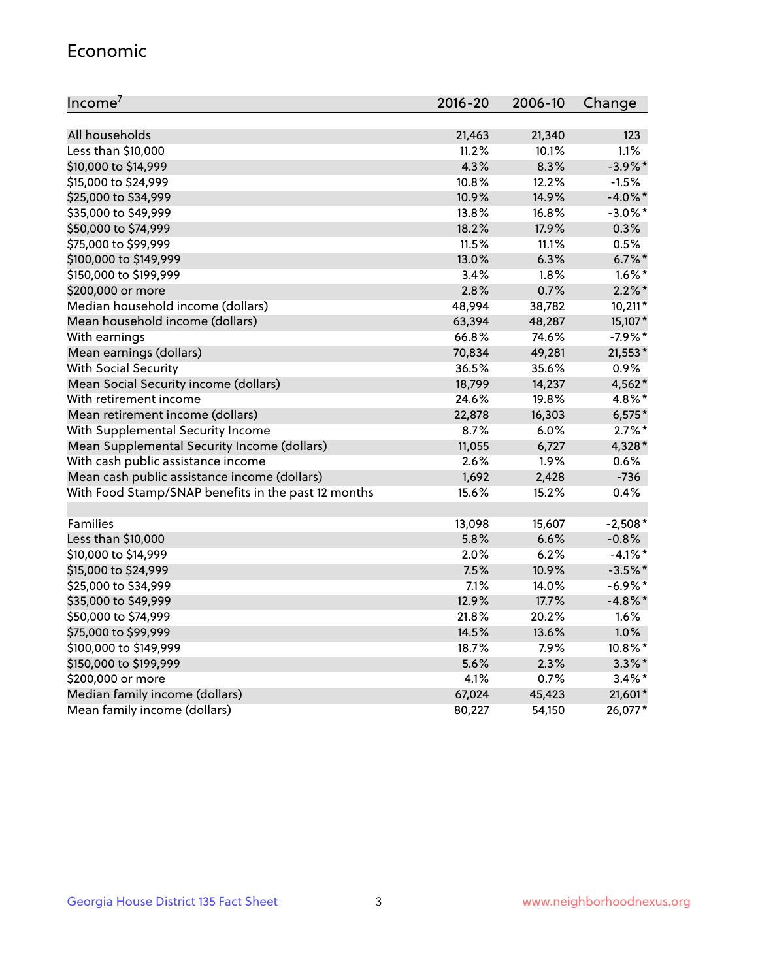#### Economic

| Income <sup>7</sup>                                 | 2016-20 | 2006-10 | Change     |
|-----------------------------------------------------|---------|---------|------------|
|                                                     |         |         |            |
| All households                                      | 21,463  | 21,340  | 123        |
| Less than \$10,000                                  | 11.2%   | 10.1%   | 1.1%       |
| \$10,000 to \$14,999                                | 4.3%    | 8.3%    | $-3.9\%$ * |
| \$15,000 to \$24,999                                | 10.8%   | 12.2%   | $-1.5%$    |
| \$25,000 to \$34,999                                | 10.9%   | 14.9%   | $-4.0\%$ * |
| \$35,000 to \$49,999                                | 13.8%   | 16.8%   | $-3.0\%$ * |
| \$50,000 to \$74,999                                | 18.2%   | 17.9%   | 0.3%       |
| \$75,000 to \$99,999                                | 11.5%   | 11.1%   | 0.5%       |
| \$100,000 to \$149,999                              | 13.0%   | 6.3%    | $6.7\%$ *  |
| \$150,000 to \$199,999                              | $3.4\%$ | 1.8%    | $1.6\%$ *  |
| \$200,000 or more                                   | 2.8%    | 0.7%    | $2.2\%$ *  |
| Median household income (dollars)                   | 48,994  | 38,782  | $10,211*$  |
| Mean household income (dollars)                     | 63,394  | 48,287  | 15,107*    |
| With earnings                                       | 66.8%   | 74.6%   | $-7.9%$ *  |
| Mean earnings (dollars)                             | 70,834  | 49,281  | 21,553*    |
| <b>With Social Security</b>                         | 36.5%   | 35.6%   | 0.9%       |
| Mean Social Security income (dollars)               | 18,799  | 14,237  | 4,562*     |
| With retirement income                              | 24.6%   | 19.8%   | 4.8%*      |
| Mean retirement income (dollars)                    | 22,878  | 16,303  | $6,575*$   |
| With Supplemental Security Income                   | 8.7%    | 6.0%    | $2.7\%$ *  |
| Mean Supplemental Security Income (dollars)         | 11,055  | 6,727   | 4,328*     |
| With cash public assistance income                  | 2.6%    | 1.9%    | 0.6%       |
| Mean cash public assistance income (dollars)        | 1,692   | 2,428   | $-736$     |
| With Food Stamp/SNAP benefits in the past 12 months | 15.6%   | 15.2%   | 0.4%       |
|                                                     |         |         |            |
| Families                                            | 13,098  | 15,607  | $-2,508*$  |
| Less than \$10,000                                  | 5.8%    | 6.6%    | $-0.8%$    |
| \$10,000 to \$14,999                                | 2.0%    | 6.2%    | $-4.1\%$ * |
| \$15,000 to \$24,999                                | 7.5%    | 10.9%   | $-3.5%$ *  |
| \$25,000 to \$34,999                                | 7.1%    | 14.0%   | $-6.9\%$ * |
| \$35,000 to \$49,999                                | 12.9%   | 17.7%   | $-4.8\%$ * |
| \$50,000 to \$74,999                                | 21.8%   | 20.2%   | 1.6%       |
| \$75,000 to \$99,999                                | 14.5%   | 13.6%   | 1.0%       |
| \$100,000 to \$149,999                              | 18.7%   | 7.9%    | 10.8%*     |
| \$150,000 to \$199,999                              | 5.6%    | 2.3%    | $3.3\%$ *  |
| \$200,000 or more                                   | 4.1%    | 0.7%    | $3.4\%$ *  |
| Median family income (dollars)                      | 67,024  | 45,423  | 21,601*    |
| Mean family income (dollars)                        | 80,227  | 54,150  | 26,077*    |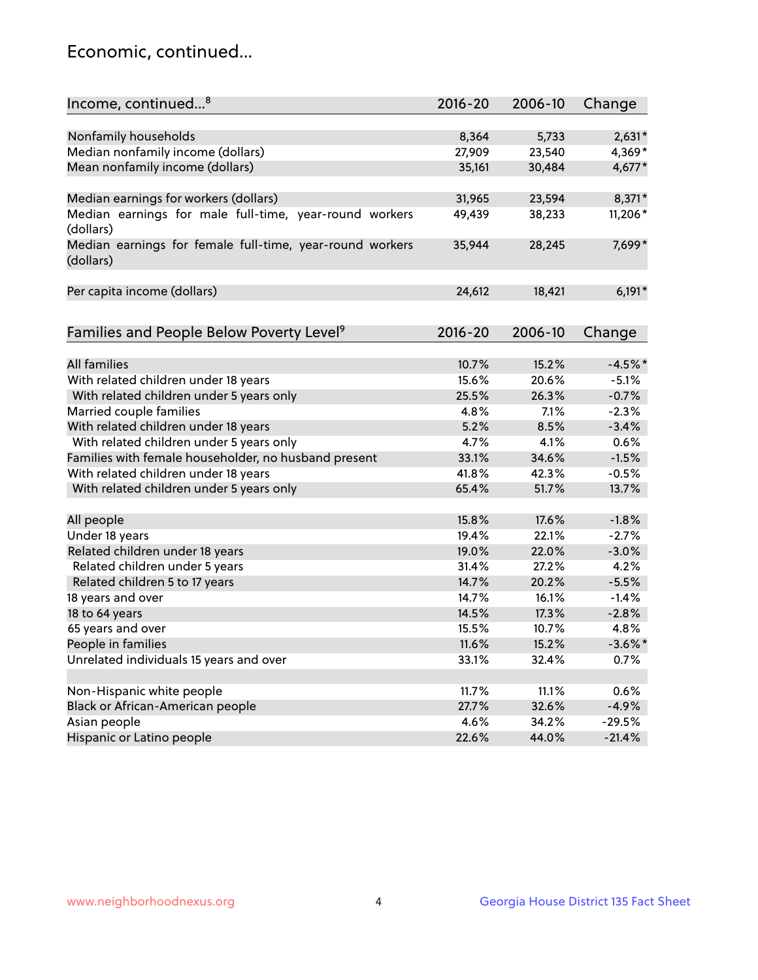## Economic, continued...

| Income, continued <sup>8</sup>                                        | $2016 - 20$ | 2006-10 | Change     |
|-----------------------------------------------------------------------|-------------|---------|------------|
|                                                                       |             |         |            |
| Nonfamily households                                                  | 8,364       | 5,733   | $2,631*$   |
| Median nonfamily income (dollars)                                     | 27,909      | 23,540  | 4,369*     |
| Mean nonfamily income (dollars)                                       | 35,161      | 30,484  | $4,677*$   |
| Median earnings for workers (dollars)                                 | 31,965      | 23,594  | 8,371*     |
| Median earnings for male full-time, year-round workers                | 49,439      | 38,233  | 11,206*    |
| (dollars)                                                             |             |         |            |
| Median earnings for female full-time, year-round workers<br>(dollars) | 35,944      | 28,245  | 7,699*     |
| Per capita income (dollars)                                           | 24,612      | 18,421  | $6,191*$   |
|                                                                       |             |         |            |
| Families and People Below Poverty Level <sup>9</sup>                  | $2016 - 20$ | 2006-10 | Change     |
|                                                                       |             |         |            |
| <b>All families</b>                                                   | 10.7%       | 15.2%   | $-4.5%$ *  |
| With related children under 18 years                                  | 15.6%       | 20.6%   | $-5.1%$    |
| With related children under 5 years only                              | 25.5%       | 26.3%   | $-0.7%$    |
| Married couple families                                               | 4.8%        | 7.1%    | $-2.3%$    |
| With related children under 18 years                                  | 5.2%        | 8.5%    | $-3.4%$    |
| With related children under 5 years only                              | 4.7%        | 4.1%    | 0.6%       |
| Families with female householder, no husband present                  | 33.1%       | 34.6%   | $-1.5%$    |
| With related children under 18 years                                  | 41.8%       | 42.3%   | $-0.5%$    |
| With related children under 5 years only                              | 65.4%       | 51.7%   | 13.7%      |
| All people                                                            | 15.8%       | 17.6%   | $-1.8%$    |
| Under 18 years                                                        | 19.4%       | 22.1%   | $-2.7%$    |
| Related children under 18 years                                       | 19.0%       | 22.0%   | $-3.0%$    |
| Related children under 5 years                                        | 31.4%       | 27.2%   | 4.2%       |
| Related children 5 to 17 years                                        | 14.7%       | 20.2%   | $-5.5%$    |
| 18 years and over                                                     | 14.7%       | 16.1%   | $-1.4%$    |
| 18 to 64 years                                                        | 14.5%       | 17.3%   | $-2.8%$    |
| 65 years and over                                                     | 15.5%       | 10.7%   | 4.8%       |
| People in families                                                    | 11.6%       | 15.2%   | $-3.6\%$ * |
| Unrelated individuals 15 years and over                               | 33.1%       | 32.4%   | 0.7%       |
|                                                                       |             |         |            |
| Non-Hispanic white people                                             | 11.7%       | 11.1%   | 0.6%       |
| Black or African-American people                                      | 27.7%       | 32.6%   | $-4.9%$    |
| Asian people                                                          | 4.6%        | 34.2%   | $-29.5%$   |
| Hispanic or Latino people                                             | 22.6%       | 44.0%   | $-21.4%$   |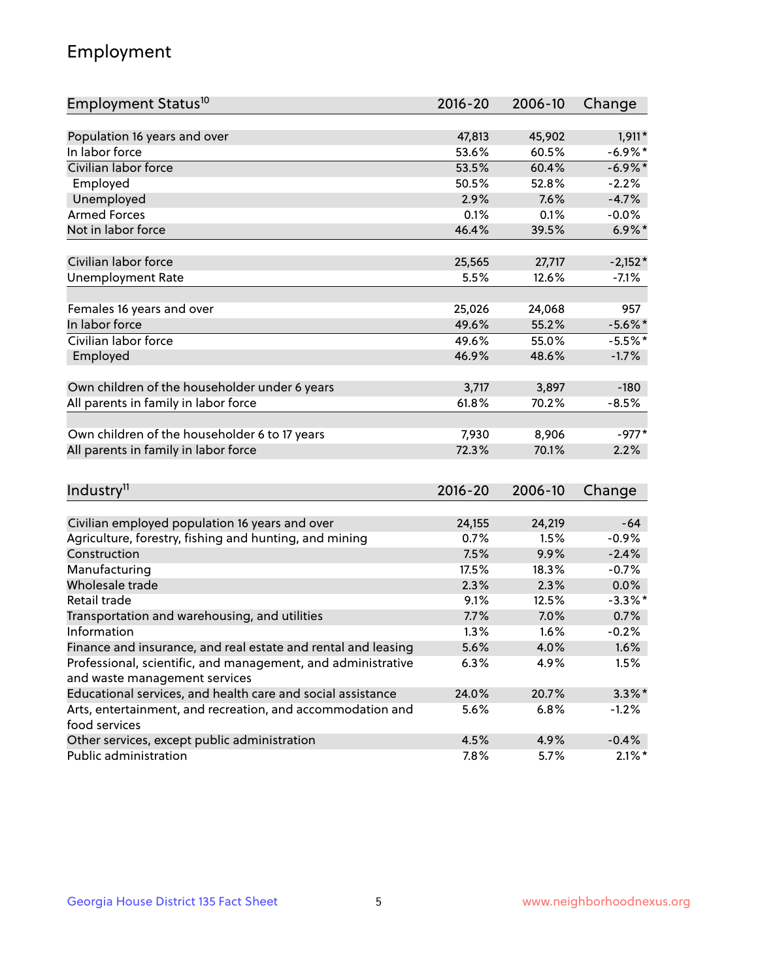## Employment

| Employment Status <sup>10</sup>                               | $2016 - 20$ | 2006-10 | Change     |
|---------------------------------------------------------------|-------------|---------|------------|
| Population 16 years and over                                  | 47,813      | 45,902  | 1,911*     |
| In labor force                                                | 53.6%       | 60.5%   | $-6.9\%$ * |
| Civilian labor force                                          | 53.5%       | 60.4%   | $-6.9\%$ * |
| Employed                                                      | 50.5%       | 52.8%   | $-2.2%$    |
| Unemployed                                                    | 2.9%        | 7.6%    | $-4.7%$    |
| <b>Armed Forces</b>                                           | 0.1%        | 0.1%    | $-0.0%$    |
| Not in labor force                                            | 46.4%       | 39.5%   | $6.9\%$ *  |
|                                                               |             |         |            |
| Civilian labor force                                          | 25,565      | 27,717  | $-2,152*$  |
| <b>Unemployment Rate</b>                                      | 5.5%        | 12.6%   | $-7.1%$    |
|                                                               |             |         |            |
| Females 16 years and over                                     | 25,026      | 24,068  | 957        |
| In labor force                                                | 49.6%       | 55.2%   | $-5.6\%$ * |
| Civilian labor force                                          | 49.6%       | 55.0%   | $-5.5%$ *  |
| Employed                                                      | 46.9%       | 48.6%   | $-1.7%$    |
|                                                               |             |         |            |
| Own children of the householder under 6 years                 | 3,717       | 3,897   | $-180$     |
| All parents in family in labor force                          | 61.8%       | 70.2%   | $-8.5%$    |
|                                                               |             |         |            |
| Own children of the householder 6 to 17 years                 | 7,930       | 8,906   | $-977*$    |
| All parents in family in labor force                          | 72.3%       | 70.1%   | 2.2%       |
|                                                               |             |         |            |
| Industry <sup>11</sup>                                        | $2016 - 20$ | 2006-10 | Change     |
|                                                               |             |         |            |
| Civilian employed population 16 years and over                | 24,155      | 24,219  | $-64$      |
| Agriculture, forestry, fishing and hunting, and mining        | 0.7%        | 1.5%    | $-0.9%$    |
| Construction                                                  | 7.5%        | 9.9%    | $-2.4%$    |
| Manufacturing                                                 | 17.5%       | 18.3%   | $-0.7%$    |
| Wholesale trade                                               | 2.3%        | 2.3%    | 0.0%       |
| Retail trade                                                  | 9.1%        | 12.5%   | $-3.3\%$ * |
| Transportation and warehousing, and utilities                 | 7.7%        | 7.0%    | 0.7%       |
| Information                                                   | 1.3%        | 1.6%    | $-0.2%$    |
| Finance and insurance, and real estate and rental and leasing | 5.6%        | 4.0%    | 1.6%       |
| Professional, scientific, and management, and administrative  | 6.3%        | 4.9%    | 1.5%       |
| and waste management services                                 |             |         |            |
| Educational services, and health care and social assistance   | 24.0%       | 20.7%   | $3.3\%$ *  |
| Arts, entertainment, and recreation, and accommodation and    | 5.6%        | 6.8%    | $-1.2%$    |
| food services                                                 |             |         |            |
| Other services, except public administration                  | 4.5%        | 4.9%    | $-0.4%$    |
| Public administration                                         | 7.8%        | 5.7%    | $2.1\%$ *  |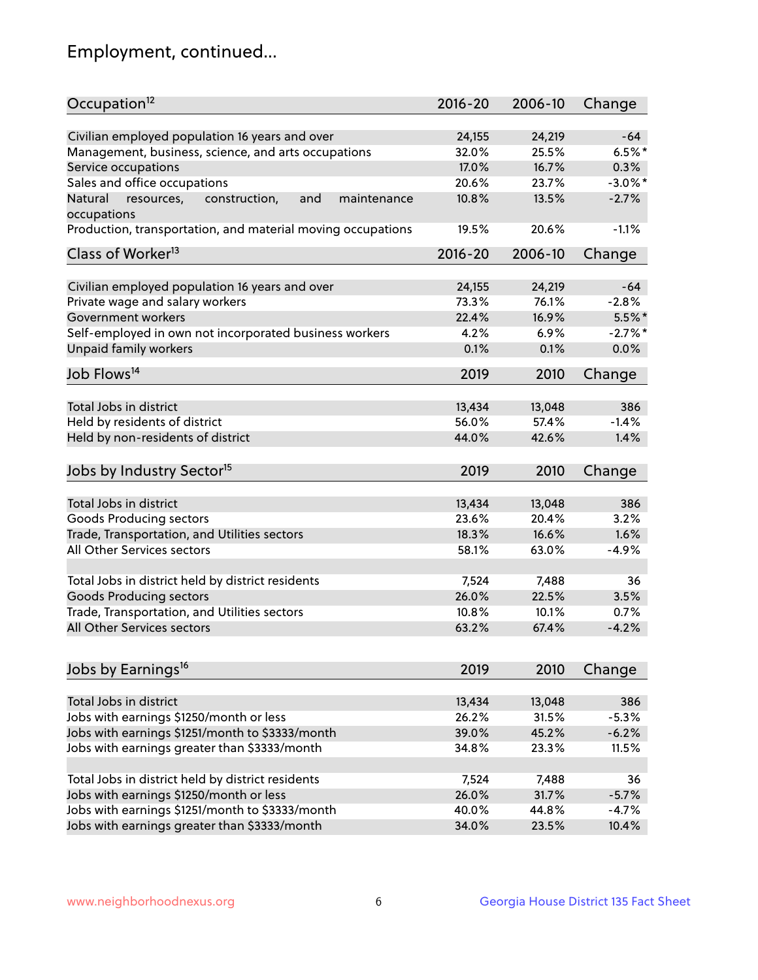## Employment, continued...

| Civilian employed population 16 years and over<br>24,155<br>24,219<br>$-64$<br>$6.5%$ *<br>Management, business, science, and arts occupations<br>32.0%<br>25.5%<br>0.3%<br>Service occupations<br>17.0%<br>16.7%<br>Sales and office occupations<br>$-3.0\%$ *<br>20.6%<br>23.7%<br>$-2.7%$<br>and<br>10.8%<br>13.5%<br>Natural<br>resources,<br>construction,<br>maintenance<br>20.6%<br>$-1.1%$<br>19.5%<br>$2016 - 20$<br>2006-10<br>Change<br>Civilian employed population 16 years and over<br>24,155<br>24,219<br>$-64$<br>Private wage and salary workers<br>$-2.8%$<br>73.3%<br>76.1%<br>$5.5\%$ *<br>22.4%<br>16.9%<br>Self-employed in own not incorporated business workers<br>$-2.7%$ *<br>4.2%<br>6.9%<br>0.0%<br>0.1%<br>0.1%<br>2019<br>2010<br>Change<br>13,434<br>13,048<br>386<br>56.0%<br>57.4%<br>$-1.4%$<br>44.0%<br>42.6%<br>1.4%<br>Jobs by Industry Sector <sup>15</sup><br>2019<br>2010<br>Change<br>13,434<br>13,048<br>386<br>3.2%<br>Goods Producing sectors<br>23.6%<br>20.4%<br>Trade, Transportation, and Utilities sectors<br>18.3%<br>16.6%<br>1.6%<br>All Other Services sectors<br>58.1%<br>63.0%<br>$-4.9%$<br>Total Jobs in district held by district residents<br>7,524<br>7,488<br>36<br><b>Goods Producing sectors</b><br>26.0%<br>22.5%<br>3.5%<br>Trade, Transportation, and Utilities sectors<br>10.8%<br>10.1%<br>0.7%<br>$-4.2%$<br>63.2%<br>67.4%<br>2019<br>2010<br>Change<br>Total Jobs in district<br>13,434<br>386<br>13,048<br>Jobs with earnings \$1250/month or less<br>26.2%<br>31.5%<br>$-5.3%$<br>Jobs with earnings \$1251/month to \$3333/month<br>$-6.2%$<br>39.0%<br>45.2%<br>Jobs with earnings greater than \$3333/month<br>11.5%<br>34.8%<br>23.3%<br>Total Jobs in district held by district residents<br>7,524<br>7,488<br>36 | Occupation <sup>12</sup>                                    | $2016 - 20$ | 2006-10 | Change  |
|-------------------------------------------------------------------------------------------------------------------------------------------------------------------------------------------------------------------------------------------------------------------------------------------------------------------------------------------------------------------------------------------------------------------------------------------------------------------------------------------------------------------------------------------------------------------------------------------------------------------------------------------------------------------------------------------------------------------------------------------------------------------------------------------------------------------------------------------------------------------------------------------------------------------------------------------------------------------------------------------------------------------------------------------------------------------------------------------------------------------------------------------------------------------------------------------------------------------------------------------------------------------------------------------------------------------------------------------------------------------------------------------------------------------------------------------------------------------------------------------------------------------------------------------------------------------------------------------------------------------------------------------------------------------------------------------------------------------------------------------------------------------------------------------------|-------------------------------------------------------------|-------------|---------|---------|
|                                                                                                                                                                                                                                                                                                                                                                                                                                                                                                                                                                                                                                                                                                                                                                                                                                                                                                                                                                                                                                                                                                                                                                                                                                                                                                                                                                                                                                                                                                                                                                                                                                                                                                                                                                                                 |                                                             |             |         |         |
|                                                                                                                                                                                                                                                                                                                                                                                                                                                                                                                                                                                                                                                                                                                                                                                                                                                                                                                                                                                                                                                                                                                                                                                                                                                                                                                                                                                                                                                                                                                                                                                                                                                                                                                                                                                                 |                                                             |             |         |         |
|                                                                                                                                                                                                                                                                                                                                                                                                                                                                                                                                                                                                                                                                                                                                                                                                                                                                                                                                                                                                                                                                                                                                                                                                                                                                                                                                                                                                                                                                                                                                                                                                                                                                                                                                                                                                 |                                                             |             |         |         |
|                                                                                                                                                                                                                                                                                                                                                                                                                                                                                                                                                                                                                                                                                                                                                                                                                                                                                                                                                                                                                                                                                                                                                                                                                                                                                                                                                                                                                                                                                                                                                                                                                                                                                                                                                                                                 |                                                             |             |         |         |
|                                                                                                                                                                                                                                                                                                                                                                                                                                                                                                                                                                                                                                                                                                                                                                                                                                                                                                                                                                                                                                                                                                                                                                                                                                                                                                                                                                                                                                                                                                                                                                                                                                                                                                                                                                                                 |                                                             |             |         |         |
|                                                                                                                                                                                                                                                                                                                                                                                                                                                                                                                                                                                                                                                                                                                                                                                                                                                                                                                                                                                                                                                                                                                                                                                                                                                                                                                                                                                                                                                                                                                                                                                                                                                                                                                                                                                                 | occupations                                                 |             |         |         |
|                                                                                                                                                                                                                                                                                                                                                                                                                                                                                                                                                                                                                                                                                                                                                                                                                                                                                                                                                                                                                                                                                                                                                                                                                                                                                                                                                                                                                                                                                                                                                                                                                                                                                                                                                                                                 | Production, transportation, and material moving occupations |             |         |         |
|                                                                                                                                                                                                                                                                                                                                                                                                                                                                                                                                                                                                                                                                                                                                                                                                                                                                                                                                                                                                                                                                                                                                                                                                                                                                                                                                                                                                                                                                                                                                                                                                                                                                                                                                                                                                 | Class of Worker <sup>13</sup>                               |             |         |         |
|                                                                                                                                                                                                                                                                                                                                                                                                                                                                                                                                                                                                                                                                                                                                                                                                                                                                                                                                                                                                                                                                                                                                                                                                                                                                                                                                                                                                                                                                                                                                                                                                                                                                                                                                                                                                 |                                                             |             |         |         |
|                                                                                                                                                                                                                                                                                                                                                                                                                                                                                                                                                                                                                                                                                                                                                                                                                                                                                                                                                                                                                                                                                                                                                                                                                                                                                                                                                                                                                                                                                                                                                                                                                                                                                                                                                                                                 |                                                             |             |         |         |
|                                                                                                                                                                                                                                                                                                                                                                                                                                                                                                                                                                                                                                                                                                                                                                                                                                                                                                                                                                                                                                                                                                                                                                                                                                                                                                                                                                                                                                                                                                                                                                                                                                                                                                                                                                                                 |                                                             |             |         |         |
|                                                                                                                                                                                                                                                                                                                                                                                                                                                                                                                                                                                                                                                                                                                                                                                                                                                                                                                                                                                                                                                                                                                                                                                                                                                                                                                                                                                                                                                                                                                                                                                                                                                                                                                                                                                                 | Government workers                                          |             |         |         |
|                                                                                                                                                                                                                                                                                                                                                                                                                                                                                                                                                                                                                                                                                                                                                                                                                                                                                                                                                                                                                                                                                                                                                                                                                                                                                                                                                                                                                                                                                                                                                                                                                                                                                                                                                                                                 |                                                             |             |         |         |
|                                                                                                                                                                                                                                                                                                                                                                                                                                                                                                                                                                                                                                                                                                                                                                                                                                                                                                                                                                                                                                                                                                                                                                                                                                                                                                                                                                                                                                                                                                                                                                                                                                                                                                                                                                                                 | Unpaid family workers                                       |             |         |         |
|                                                                                                                                                                                                                                                                                                                                                                                                                                                                                                                                                                                                                                                                                                                                                                                                                                                                                                                                                                                                                                                                                                                                                                                                                                                                                                                                                                                                                                                                                                                                                                                                                                                                                                                                                                                                 | Job Flows <sup>14</sup>                                     |             |         |         |
|                                                                                                                                                                                                                                                                                                                                                                                                                                                                                                                                                                                                                                                                                                                                                                                                                                                                                                                                                                                                                                                                                                                                                                                                                                                                                                                                                                                                                                                                                                                                                                                                                                                                                                                                                                                                 |                                                             |             |         |         |
|                                                                                                                                                                                                                                                                                                                                                                                                                                                                                                                                                                                                                                                                                                                                                                                                                                                                                                                                                                                                                                                                                                                                                                                                                                                                                                                                                                                                                                                                                                                                                                                                                                                                                                                                                                                                 | Total Jobs in district                                      |             |         |         |
|                                                                                                                                                                                                                                                                                                                                                                                                                                                                                                                                                                                                                                                                                                                                                                                                                                                                                                                                                                                                                                                                                                                                                                                                                                                                                                                                                                                                                                                                                                                                                                                                                                                                                                                                                                                                 | Held by residents of district                               |             |         |         |
|                                                                                                                                                                                                                                                                                                                                                                                                                                                                                                                                                                                                                                                                                                                                                                                                                                                                                                                                                                                                                                                                                                                                                                                                                                                                                                                                                                                                                                                                                                                                                                                                                                                                                                                                                                                                 | Held by non-residents of district                           |             |         |         |
|                                                                                                                                                                                                                                                                                                                                                                                                                                                                                                                                                                                                                                                                                                                                                                                                                                                                                                                                                                                                                                                                                                                                                                                                                                                                                                                                                                                                                                                                                                                                                                                                                                                                                                                                                                                                 |                                                             |             |         |         |
|                                                                                                                                                                                                                                                                                                                                                                                                                                                                                                                                                                                                                                                                                                                                                                                                                                                                                                                                                                                                                                                                                                                                                                                                                                                                                                                                                                                                                                                                                                                                                                                                                                                                                                                                                                                                 |                                                             |             |         |         |
|                                                                                                                                                                                                                                                                                                                                                                                                                                                                                                                                                                                                                                                                                                                                                                                                                                                                                                                                                                                                                                                                                                                                                                                                                                                                                                                                                                                                                                                                                                                                                                                                                                                                                                                                                                                                 | Total Jobs in district                                      |             |         |         |
|                                                                                                                                                                                                                                                                                                                                                                                                                                                                                                                                                                                                                                                                                                                                                                                                                                                                                                                                                                                                                                                                                                                                                                                                                                                                                                                                                                                                                                                                                                                                                                                                                                                                                                                                                                                                 |                                                             |             |         |         |
|                                                                                                                                                                                                                                                                                                                                                                                                                                                                                                                                                                                                                                                                                                                                                                                                                                                                                                                                                                                                                                                                                                                                                                                                                                                                                                                                                                                                                                                                                                                                                                                                                                                                                                                                                                                                 |                                                             |             |         |         |
|                                                                                                                                                                                                                                                                                                                                                                                                                                                                                                                                                                                                                                                                                                                                                                                                                                                                                                                                                                                                                                                                                                                                                                                                                                                                                                                                                                                                                                                                                                                                                                                                                                                                                                                                                                                                 |                                                             |             |         |         |
|                                                                                                                                                                                                                                                                                                                                                                                                                                                                                                                                                                                                                                                                                                                                                                                                                                                                                                                                                                                                                                                                                                                                                                                                                                                                                                                                                                                                                                                                                                                                                                                                                                                                                                                                                                                                 |                                                             |             |         |         |
|                                                                                                                                                                                                                                                                                                                                                                                                                                                                                                                                                                                                                                                                                                                                                                                                                                                                                                                                                                                                                                                                                                                                                                                                                                                                                                                                                                                                                                                                                                                                                                                                                                                                                                                                                                                                 |                                                             |             |         |         |
|                                                                                                                                                                                                                                                                                                                                                                                                                                                                                                                                                                                                                                                                                                                                                                                                                                                                                                                                                                                                                                                                                                                                                                                                                                                                                                                                                                                                                                                                                                                                                                                                                                                                                                                                                                                                 |                                                             |             |         |         |
|                                                                                                                                                                                                                                                                                                                                                                                                                                                                                                                                                                                                                                                                                                                                                                                                                                                                                                                                                                                                                                                                                                                                                                                                                                                                                                                                                                                                                                                                                                                                                                                                                                                                                                                                                                                                 |                                                             |             |         |         |
|                                                                                                                                                                                                                                                                                                                                                                                                                                                                                                                                                                                                                                                                                                                                                                                                                                                                                                                                                                                                                                                                                                                                                                                                                                                                                                                                                                                                                                                                                                                                                                                                                                                                                                                                                                                                 | All Other Services sectors                                  |             |         |         |
|                                                                                                                                                                                                                                                                                                                                                                                                                                                                                                                                                                                                                                                                                                                                                                                                                                                                                                                                                                                                                                                                                                                                                                                                                                                                                                                                                                                                                                                                                                                                                                                                                                                                                                                                                                                                 |                                                             |             |         |         |
|                                                                                                                                                                                                                                                                                                                                                                                                                                                                                                                                                                                                                                                                                                                                                                                                                                                                                                                                                                                                                                                                                                                                                                                                                                                                                                                                                                                                                                                                                                                                                                                                                                                                                                                                                                                                 | Jobs by Earnings <sup>16</sup>                              |             |         |         |
|                                                                                                                                                                                                                                                                                                                                                                                                                                                                                                                                                                                                                                                                                                                                                                                                                                                                                                                                                                                                                                                                                                                                                                                                                                                                                                                                                                                                                                                                                                                                                                                                                                                                                                                                                                                                 |                                                             |             |         |         |
|                                                                                                                                                                                                                                                                                                                                                                                                                                                                                                                                                                                                                                                                                                                                                                                                                                                                                                                                                                                                                                                                                                                                                                                                                                                                                                                                                                                                                                                                                                                                                                                                                                                                                                                                                                                                 |                                                             |             |         |         |
|                                                                                                                                                                                                                                                                                                                                                                                                                                                                                                                                                                                                                                                                                                                                                                                                                                                                                                                                                                                                                                                                                                                                                                                                                                                                                                                                                                                                                                                                                                                                                                                                                                                                                                                                                                                                 |                                                             |             |         |         |
|                                                                                                                                                                                                                                                                                                                                                                                                                                                                                                                                                                                                                                                                                                                                                                                                                                                                                                                                                                                                                                                                                                                                                                                                                                                                                                                                                                                                                                                                                                                                                                                                                                                                                                                                                                                                 |                                                             |             |         |         |
|                                                                                                                                                                                                                                                                                                                                                                                                                                                                                                                                                                                                                                                                                                                                                                                                                                                                                                                                                                                                                                                                                                                                                                                                                                                                                                                                                                                                                                                                                                                                                                                                                                                                                                                                                                                                 |                                                             |             |         |         |
|                                                                                                                                                                                                                                                                                                                                                                                                                                                                                                                                                                                                                                                                                                                                                                                                                                                                                                                                                                                                                                                                                                                                                                                                                                                                                                                                                                                                                                                                                                                                                                                                                                                                                                                                                                                                 |                                                             |             |         |         |
|                                                                                                                                                                                                                                                                                                                                                                                                                                                                                                                                                                                                                                                                                                                                                                                                                                                                                                                                                                                                                                                                                                                                                                                                                                                                                                                                                                                                                                                                                                                                                                                                                                                                                                                                                                                                 | Jobs with earnings \$1250/month or less                     | 26.0%       | 31.7%   | $-5.7%$ |
| 40.0%<br>44.8%<br>$-4.7%$                                                                                                                                                                                                                                                                                                                                                                                                                                                                                                                                                                                                                                                                                                                                                                                                                                                                                                                                                                                                                                                                                                                                                                                                                                                                                                                                                                                                                                                                                                                                                                                                                                                                                                                                                                       | Jobs with earnings \$1251/month to \$3333/month             |             |         |         |
| 34.0%<br>23.5%<br>10.4%                                                                                                                                                                                                                                                                                                                                                                                                                                                                                                                                                                                                                                                                                                                                                                                                                                                                                                                                                                                                                                                                                                                                                                                                                                                                                                                                                                                                                                                                                                                                                                                                                                                                                                                                                                         | Jobs with earnings greater than \$3333/month                |             |         |         |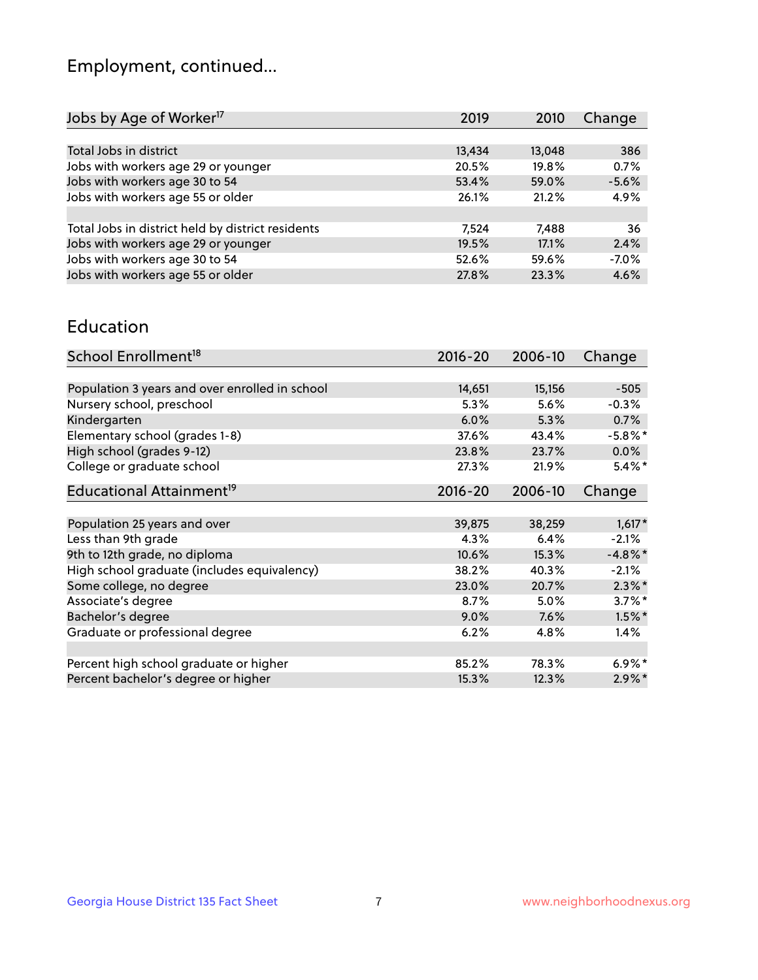## Employment, continued...

| 2019   | 2010   | Change  |
|--------|--------|---------|
|        |        |         |
| 13,434 | 13,048 | 386     |
| 20.5%  | 19.8%  | 0.7%    |
| 53.4%  | 59.0%  | $-5.6%$ |
| 26.1%  | 21.2%  | 4.9%    |
|        |        |         |
| 7.524  | 7,488  | 36      |
| 19.5%  | 17.1%  | 2.4%    |
| 52.6%  | 59.6%  | $-7.0%$ |
| 27.8%  | 23.3%  | 4.6%    |
|        |        |         |

#### Education

| School Enrollment <sup>18</sup>                | $2016 - 20$ | 2006-10 | Change     |
|------------------------------------------------|-------------|---------|------------|
|                                                |             |         |            |
| Population 3 years and over enrolled in school | 14,651      | 15,156  | $-505$     |
| Nursery school, preschool                      | 5.3%        | 5.6%    | $-0.3%$    |
| Kindergarten                                   | 6.0%        | 5.3%    | 0.7%       |
| Elementary school (grades 1-8)                 | 37.6%       | 43.4%   | $-5.8\%$ * |
| High school (grades 9-12)                      | 23.8%       | 23.7%   | 0.0%       |
| College or graduate school                     | 27.3%       | 21.9%   | $5.4\%$ *  |
| Educational Attainment <sup>19</sup>           | $2016 - 20$ | 2006-10 | Change     |
|                                                |             |         |            |
| Population 25 years and over                   | 39,875      | 38,259  | $1,617*$   |
| Less than 9th grade                            | 4.3%        | 6.4%    | $-2.1%$    |
| 9th to 12th grade, no diploma                  | 10.6%       | 15.3%   | $-4.8\%$ * |
| High school graduate (includes equivalency)    | 38.2%       | 40.3%   | $-2.1%$    |
| Some college, no degree                        | 23.0%       | 20.7%   | $2.3\%$ *  |
| Associate's degree                             | 8.7%        | 5.0%    | $3.7\%$ *  |
| Bachelor's degree                              | 9.0%        | 7.6%    | $1.5\%$ *  |
| Graduate or professional degree                | 6.2%        | 4.8%    | $1.4\%$    |
|                                                |             |         |            |
| Percent high school graduate or higher         | 85.2%       | 78.3%   | $6.9\%$ *  |
| Percent bachelor's degree or higher            | 15.3%       | 12.3%   | $2.9\%$ *  |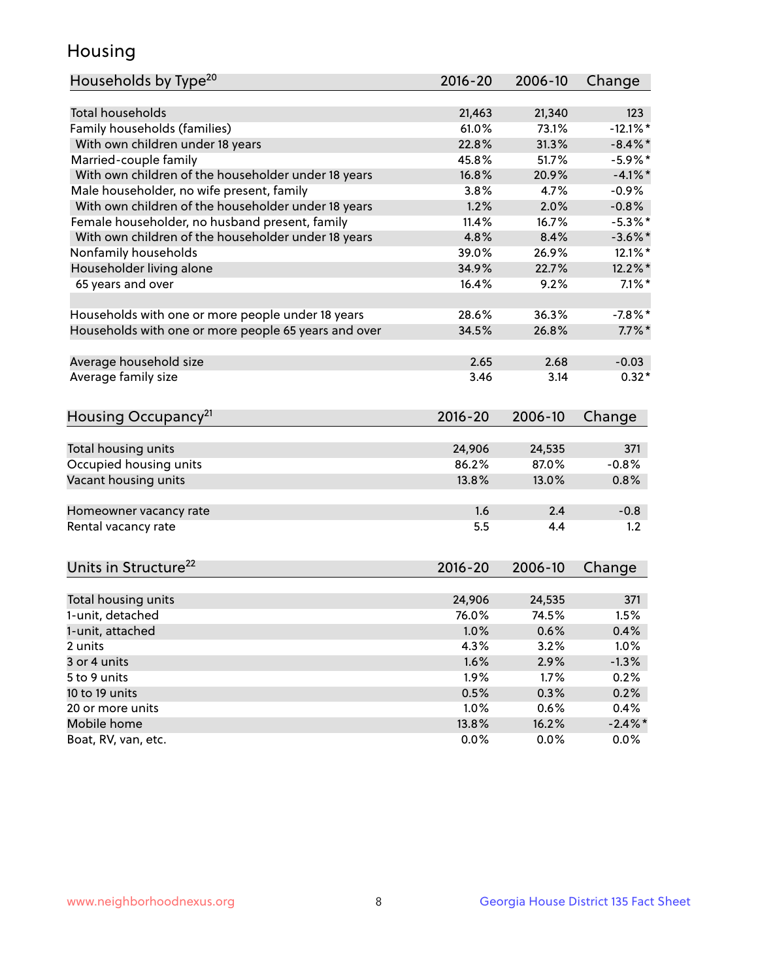## Housing

| Households by Type <sup>20</sup>                     | 2016-20     | 2006-10 | Change     |
|------------------------------------------------------|-------------|---------|------------|
|                                                      |             |         |            |
| Total households                                     | 21,463      | 21,340  | 123        |
| Family households (families)                         | 61.0%       | 73.1%   | $-12.1%$   |
| With own children under 18 years                     | 22.8%       | 31.3%   | $-8.4\%$ * |
| Married-couple family                                | 45.8%       | 51.7%   | $-5.9%$ *  |
| With own children of the householder under 18 years  | 16.8%       | 20.9%   | $-4.1%$ *  |
| Male householder, no wife present, family            | 3.8%        | 4.7%    | $-0.9\%$   |
| With own children of the householder under 18 years  | 1.2%        | 2.0%    | $-0.8%$    |
| Female householder, no husband present, family       | 11.4%       | 16.7%   | $-5.3\%$ * |
| With own children of the householder under 18 years  | 4.8%        | 8.4%    | $-3.6\%$ * |
| Nonfamily households                                 | 39.0%       | 26.9%   | $12.1\%$ * |
|                                                      | 34.9%       | 22.7%   |            |
| Householder living alone                             |             |         | $12.2\%$ * |
| 65 years and over                                    | 16.4%       | 9.2%    | $7.1\%$ *  |
| Households with one or more people under 18 years    | 28.6%       | 36.3%   | $-7.8\%$ * |
| Households with one or more people 65 years and over | 34.5%       | 26.8%   | $7.7\%$ *  |
|                                                      |             |         |            |
| Average household size                               | 2.65        | 2.68    | $-0.03$    |
| Average family size                                  | 3.46        | 3.14    | $0.32*$    |
|                                                      |             |         |            |
| Housing Occupancy <sup>21</sup>                      | 2016-20     | 2006-10 | Change     |
|                                                      |             |         |            |
| Total housing units                                  | 24,906      | 24,535  | 371        |
| Occupied housing units                               | 86.2%       | 87.0%   | $-0.8%$    |
| Vacant housing units                                 | 13.8%       | 13.0%   | 0.8%       |
| Homeowner vacancy rate                               | 1.6         | 2.4     | $-0.8$     |
| Rental vacancy rate                                  | 5.5         | 4.4     | 1.2        |
|                                                      |             |         |            |
| Units in Structure <sup>22</sup>                     | $2016 - 20$ | 2006-10 | Change     |
|                                                      |             |         |            |
| Total housing units                                  | 24,906      | 24,535  | 371        |
| 1-unit, detached                                     | 76.0%       | 74.5%   | 1.5%       |
| 1-unit, attached                                     | 1.0%        | 0.6%    | 0.4%       |
| 2 units                                              | 4.3%        | 3.2%    | 1.0%       |
|                                                      |             |         |            |
| 3 or 4 units                                         | 1.6%        | 2.9%    | $-1.3%$    |
| 5 to 9 units                                         | 1.9%        | 1.7%    | 0.2%       |
| 10 to 19 units                                       | 0.5%        | 0.3%    | 0.2%       |
| 20 or more units                                     | 1.0%        | 0.6%    | 0.4%       |
| Mobile home                                          | 13.8%       | 16.2%   | $-2.4\%$ * |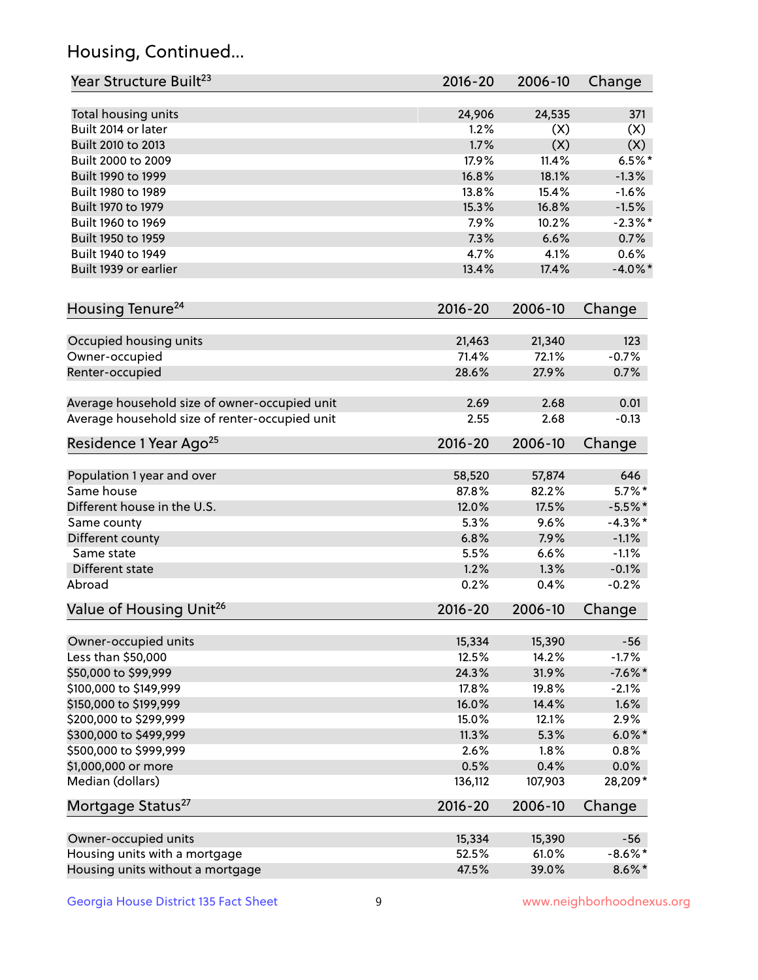## Housing, Continued...

| Year Structure Built <sup>23</sup>             | 2016-20     | 2006-10 | Change     |
|------------------------------------------------|-------------|---------|------------|
| Total housing units                            | 24,906      | 24,535  | 371        |
| Built 2014 or later                            | 1.2%        | (X)     | (X)        |
| Built 2010 to 2013                             | 1.7%        | (X)     | (X)        |
| Built 2000 to 2009                             | 17.9%       | 11.4%   | $6.5%$ *   |
| Built 1990 to 1999                             | 16.8%       | 18.1%   | $-1.3%$    |
| Built 1980 to 1989                             | 13.8%       | 15.4%   | $-1.6%$    |
| Built 1970 to 1979                             | 15.3%       | 16.8%   | $-1.5%$    |
| Built 1960 to 1969                             | 7.9%        | 10.2%   | $-2.3%$ *  |
| Built 1950 to 1959                             | 7.3%        | 6.6%    | 0.7%       |
| Built 1940 to 1949                             | 4.7%        | 4.1%    | 0.6%       |
| Built 1939 or earlier                          | 13.4%       | 17.4%   | $-4.0\%$ * |
| Housing Tenure <sup>24</sup>                   | $2016 - 20$ | 2006-10 | Change     |
| Occupied housing units                         | 21,463      | 21,340  | 123        |
| Owner-occupied                                 | 71.4%       | 72.1%   | $-0.7%$    |
| Renter-occupied                                | 28.6%       | 27.9%   | 0.7%       |
| Average household size of owner-occupied unit  | 2.69        | 2.68    | 0.01       |
| Average household size of renter-occupied unit | 2.55        | 2.68    | $-0.13$    |
| Residence 1 Year Ago <sup>25</sup>             | 2016-20     | 2006-10 | Change     |
| Population 1 year and over                     | 58,520      | 57,874  | 646        |
| Same house                                     | 87.8%       | 82.2%   | $5.7\%$ *  |
| Different house in the U.S.                    | 12.0%       | 17.5%   | $-5.5%$ *  |
| Same county                                    | 5.3%        | 9.6%    | $-4.3\%$ * |
| Different county                               | 6.8%        | 7.9%    | $-1.1%$    |
| Same state                                     | 5.5%        | 6.6%    | $-1.1%$    |
| Different state                                | 1.2%        | 1.3%    | $-0.1%$    |
| Abroad                                         | 0.2%        | 0.4%    | $-0.2%$    |
| Value of Housing Unit <sup>26</sup>            | $2016 - 20$ | 2006-10 | Change     |
| Owner-occupied units                           | 15,334      | 15,390  | $-56$      |
| Less than \$50,000                             | 12.5%       | 14.2%   | $-1.7%$    |
| \$50,000 to \$99,999                           | 24.3%       | 31.9%   | $-7.6\%$ * |
| \$100,000 to \$149,999                         | 17.8%       | 19.8%   | $-2.1%$    |
| \$150,000 to \$199,999                         | 16.0%       | 14.4%   | 1.6%       |
| \$200,000 to \$299,999                         | 15.0%       | 12.1%   | 2.9%       |
| \$300,000 to \$499,999                         | 11.3%       | 5.3%    | $6.0\%$ *  |
| \$500,000 to \$999,999                         | 2.6%        | 1.8%    | 0.8%       |
| \$1,000,000 or more                            | 0.5%        | 0.4%    | 0.0%       |
| Median (dollars)                               | 136,112     | 107,903 | 28,209*    |
| Mortgage Status <sup>27</sup>                  | $2016 - 20$ | 2006-10 | Change     |
| Owner-occupied units                           | 15,334      | 15,390  | $-56$      |
| Housing units with a mortgage                  | 52.5%       | 61.0%   | $-8.6\%$ * |
| Housing units without a mortgage               | 47.5%       | 39.0%   | $8.6\%$ *  |
|                                                |             |         |            |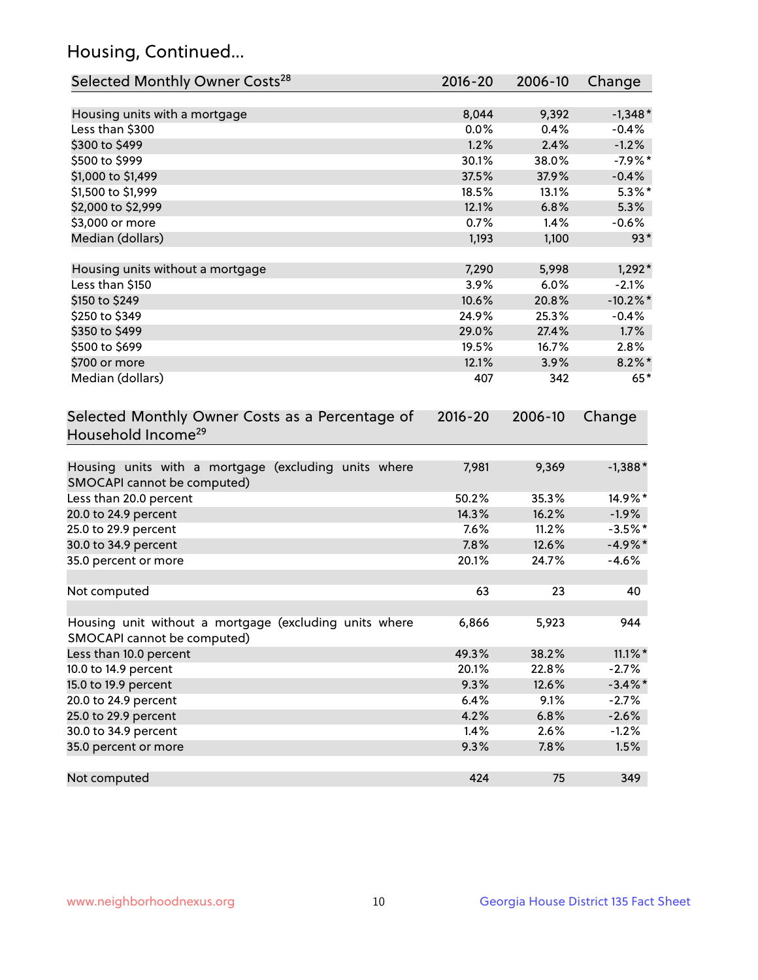## Housing, Continued...

| Selected Monthly Owner Costs <sup>28</sup>                                            | $2016 - 20$ | 2006-10 | Change      |
|---------------------------------------------------------------------------------------|-------------|---------|-------------|
| Housing units with a mortgage                                                         | 8,044       | 9,392   | $-1,348*$   |
| Less than \$300                                                                       | 0.0%        | 0.4%    | $-0.4%$     |
| \$300 to \$499                                                                        | 1.2%        | 2.4%    | $-1.2%$     |
| \$500 to \$999                                                                        | 30.1%       | 38.0%   | $-7.9%$ *   |
| \$1,000 to \$1,499                                                                    | 37.5%       | 37.9%   | $-0.4%$     |
| \$1,500 to \$1,999                                                                    | 18.5%       | 13.1%   | $5.3\%$ *   |
| \$2,000 to \$2,999                                                                    | 12.1%       | 6.8%    | 5.3%        |
| \$3,000 or more                                                                       | 0.7%        | 1.4%    | $-0.6%$     |
| Median (dollars)                                                                      | 1,193       | 1,100   | $93*$       |
| Housing units without a mortgage                                                      | 7,290       | 5,998   | $1,292*$    |
| Less than \$150                                                                       | 3.9%        | 6.0%    | $-2.1%$     |
| \$150 to \$249                                                                        | 10.6%       | 20.8%   | $-10.2\%$ * |
| \$250 to \$349                                                                        | 24.9%       | 25.3%   | $-0.4%$     |
| \$350 to \$499                                                                        | 29.0%       | 27.4%   | 1.7%        |
| \$500 to \$699                                                                        | 19.5%       | 16.7%   | 2.8%        |
| \$700 or more                                                                         | 12.1%       | 3.9%    | $8.2\%$ *   |
| Median (dollars)                                                                      | 407         | 342     | $65*$       |
| Selected Monthly Owner Costs as a Percentage of<br>Household Income <sup>29</sup>     | $2016 - 20$ | 2006-10 | Change      |
| Housing units with a mortgage (excluding units where<br>SMOCAPI cannot be computed)   | 7,981       | 9,369   | $-1,388*$   |
| Less than 20.0 percent                                                                | 50.2%       | 35.3%   | 14.9%*      |
| 20.0 to 24.9 percent                                                                  | 14.3%       | 16.2%   | $-1.9%$     |
| 25.0 to 29.9 percent                                                                  | 7.6%        | 11.2%   | $-3.5%$ *   |
| 30.0 to 34.9 percent                                                                  | 7.8%        | 12.6%   | $-4.9\%*$   |
| 35.0 percent or more                                                                  | 20.1%       | 24.7%   | $-4.6%$     |
| Not computed                                                                          | 63          | 23      | 40          |
| Housing unit without a mortgage (excluding units where<br>SMOCAPI cannot be computed) | 6,866       | 5,923   | 944         |
| Less than 10.0 percent                                                                | 49.3%       | 38.2%   | $11.1\%$ *  |
| 10.0 to 14.9 percent                                                                  | 20.1%       | 22.8%   | $-2.7%$     |
| 15.0 to 19.9 percent                                                                  | 9.3%        | 12.6%   | $-3.4\%$ *  |
| 20.0 to 24.9 percent                                                                  | 6.4%        | 9.1%    | $-2.7%$     |
| 25.0 to 29.9 percent                                                                  | 4.2%        | 6.8%    | $-2.6%$     |
| 30.0 to 34.9 percent                                                                  | 1.4%        | 2.6%    | $-1.2%$     |
| 35.0 percent or more                                                                  | 9.3%        | 7.8%    | 1.5%        |
| Not computed                                                                          | 424         | 75      | 349         |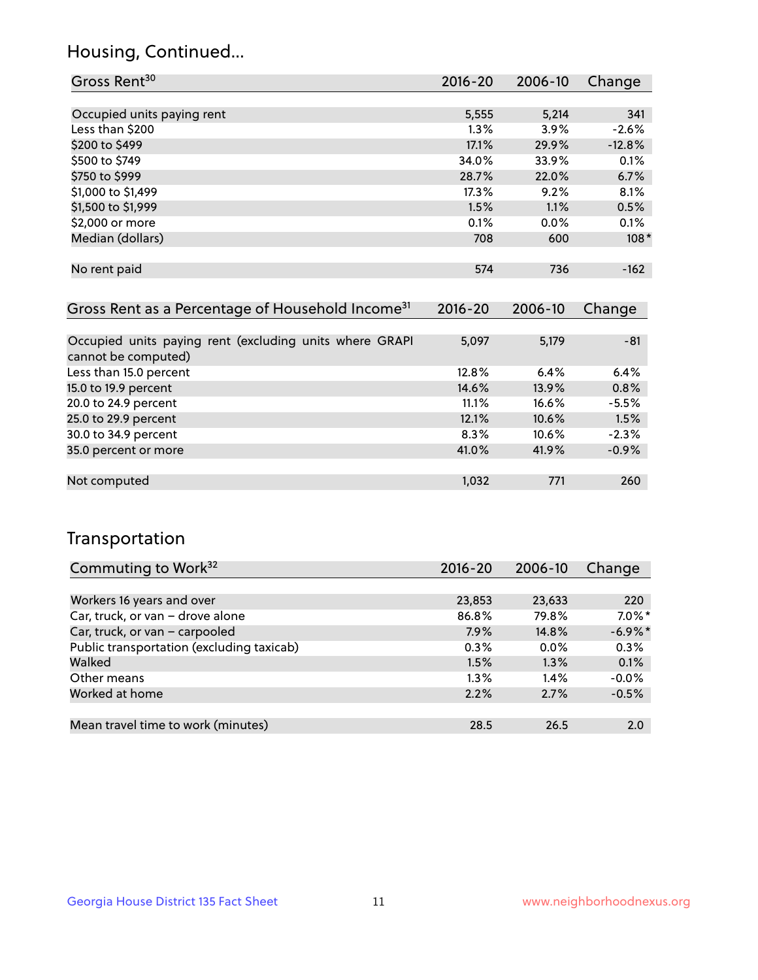## Housing, Continued...

| Gross Rent <sup>30</sup>                                     | 2016-20     | 2006-10 | Change   |
|--------------------------------------------------------------|-------------|---------|----------|
|                                                              |             |         |          |
| Occupied units paying rent                                   | 5,555       | 5,214   | 341      |
| Less than \$200                                              | $1.3\%$     | $3.9\%$ | $-2.6%$  |
| \$200 to \$499                                               | 17.1%       | 29.9%   | $-12.8%$ |
| \$500 to \$749                                               | 34.0%       | 33.9%   | 0.1%     |
| \$750 to \$999                                               | 28.7%       | 22.0%   | 6.7%     |
| \$1,000 to \$1,499                                           | 17.3%       | 9.2%    | 8.1%     |
| \$1,500 to \$1,999                                           | 1.5%        | 1.1%    | 0.5%     |
| \$2,000 or more                                              | 0.1%        | $0.0\%$ | 0.1%     |
| Median (dollars)                                             | 708         | 600     | $108*$   |
|                                                              |             |         |          |
| No rent paid                                                 | 574         | 736     | $-162$   |
|                                                              |             |         |          |
| Gross Rent as a Percentage of Household Income <sup>31</sup> | $2016 - 20$ | 2006-10 | Change   |

| Occupied units paying rent (excluding units where GRAPI | 5,097 | 5,179 | $-81$   |
|---------------------------------------------------------|-------|-------|---------|
| cannot be computed)                                     |       |       |         |
| Less than 15.0 percent                                  | 12.8% | 6.4%  | 6.4%    |
| 15.0 to 19.9 percent                                    | 14.6% | 13.9% | 0.8%    |
| 20.0 to 24.9 percent                                    | 11.1% | 16.6% | $-5.5%$ |
| 25.0 to 29.9 percent                                    | 12.1% | 10.6% | 1.5%    |
| 30.0 to 34.9 percent                                    | 8.3%  | 10.6% | $-2.3%$ |
| 35.0 percent or more                                    | 41.0% | 41.9% | $-0.9%$ |
|                                                         |       |       |         |
| Not computed                                            | 1,032 | 771   | 260     |

## Transportation

| Commuting to Work <sup>32</sup>           | 2016-20 | 2006-10 | Change     |
|-------------------------------------------|---------|---------|------------|
|                                           |         |         |            |
| Workers 16 years and over                 | 23,853  | 23,633  | 220        |
| Car, truck, or van - drove alone          | 86.8%   | 79.8%   | $7.0\%$ *  |
| Car, truck, or van - carpooled            | 7.9%    | 14.8%   | $-6.9\%$ * |
| Public transportation (excluding taxicab) | $0.3\%$ | $0.0\%$ | 0.3%       |
| Walked                                    | 1.5%    | 1.3%    | 0.1%       |
| Other means                               | $1.3\%$ | 1.4%    | $-0.0%$    |
| Worked at home                            | 2.2%    | 2.7%    | $-0.5%$    |
|                                           |         |         |            |
| Mean travel time to work (minutes)        | 28.5    | 26.5    | 2.0        |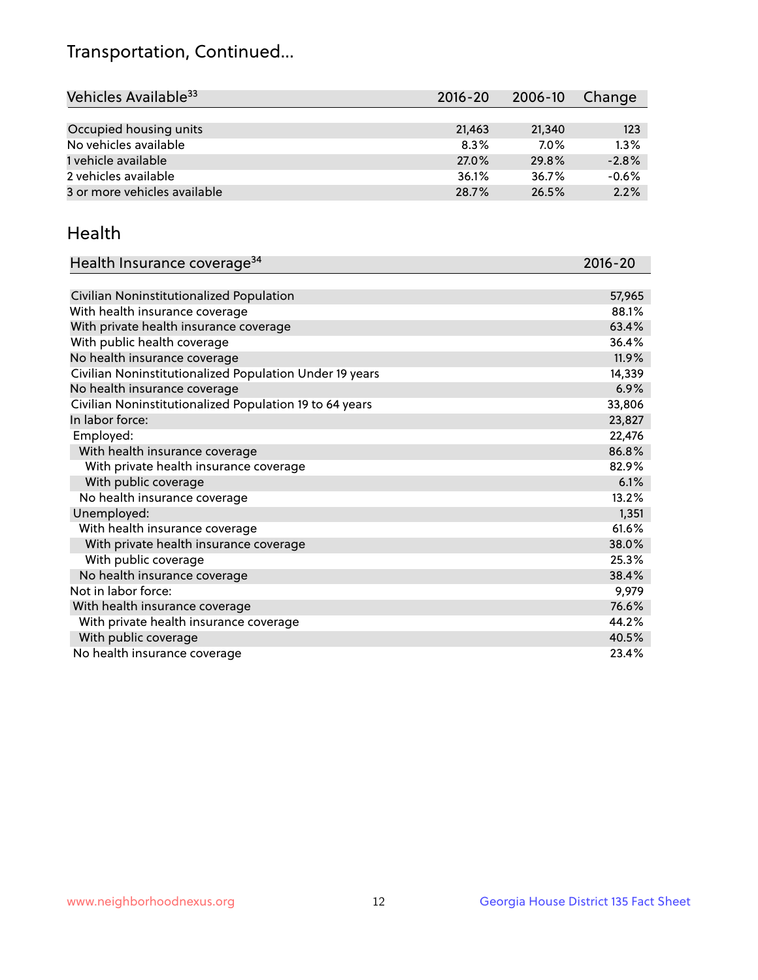## Transportation, Continued...

| Vehicles Available <sup>33</sup> | $2016 - 20$ | 2006-10 | Change  |
|----------------------------------|-------------|---------|---------|
|                                  |             |         |         |
| Occupied housing units           | 21,463      | 21,340  | 123     |
| No vehicles available            | 8.3%        | $7.0\%$ | 1.3%    |
| 1 vehicle available              | 27.0%       | 29.8%   | $-2.8%$ |
| 2 vehicles available             | 36.1%       | 36.7%   | $-0.6%$ |
| 3 or more vehicles available     | 28.7%       | 26.5%   | 2.2%    |

#### Health

| Health Insurance coverage <sup>34</sup>                 | 2016-20 |
|---------------------------------------------------------|---------|
|                                                         |         |
| Civilian Noninstitutionalized Population                | 57,965  |
| With health insurance coverage                          | 88.1%   |
| With private health insurance coverage                  | 63.4%   |
| With public health coverage                             | 36.4%   |
| No health insurance coverage                            | 11.9%   |
| Civilian Noninstitutionalized Population Under 19 years | 14,339  |
| No health insurance coverage                            | 6.9%    |
| Civilian Noninstitutionalized Population 19 to 64 years | 33,806  |
| In labor force:                                         | 23,827  |
| Employed:                                               | 22,476  |
| With health insurance coverage                          | 86.8%   |
| With private health insurance coverage                  | 82.9%   |
| With public coverage                                    | 6.1%    |
| No health insurance coverage                            | 13.2%   |
| Unemployed:                                             | 1,351   |
| With health insurance coverage                          | 61.6%   |
| With private health insurance coverage                  | 38.0%   |
| With public coverage                                    | 25.3%   |
| No health insurance coverage                            | 38.4%   |
| Not in labor force:                                     | 9,979   |
| With health insurance coverage                          | 76.6%   |
| With private health insurance coverage                  | 44.2%   |
| With public coverage                                    | 40.5%   |
| No health insurance coverage                            | 23.4%   |